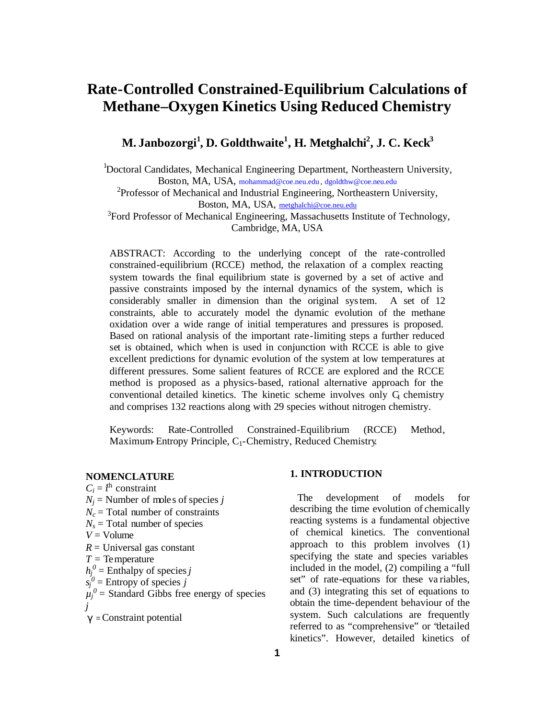# **Rate-Controlled Constrained-Equilibrium Calculations of Methane–Oxygen Kinetics Using Reduced Chemistry**

# **M. Janbozorgi<sup>1</sup> , D. Goldthwaite<sup>1</sup> , H. Metghalchi<sup>2</sup> , J. C. Keck<sup>3</sup>**

<sup>1</sup>Doctoral Candidates, Mechanical Engineering Department, Northeastern University, Boston, MA, USA, mohammad@coe.neu.edu , dgoldthw@coe.neu.edu

<sup>2</sup>Professor of Mechanical and Industrial Engineering, Northeastern University, Boston, MA, USA, metghalchi@coe.neu.edu

<sup>3</sup>Ford Professor of Mechanical Engineering, Massachusetts Institute of Technology, Cambridge, MA, USA

ABSTRACT: According to the underlying concept of the rate-controlled constrained-equilibrium (RCCE) method, the relaxation of a complex reacting system towards the final equilibrium state is governed by a set of active and passive constraints imposed by the internal dynamics of the system, which is considerably smaller in dimension than the original system. A set of 12 constraints, able to accurately model the dynamic evolution of the methane oxidation over a wide range of initial temperatures and pressures is proposed. Based on rational analysis of the important rate-limiting steps a further reduced set is obtained, which when is used in conjunction with RCCE is able to give excellent predictions for dynamic evolution of the system at low temperatures at different pressures. Some salient features of RCCE are explored and the RCCE method is proposed as a physics-based, rational alternative approach for the conventional detailed kinetics. The kinetic scheme involves only G chemistry and comprises 132 reactions along with 29 species without nitrogen chemistry.

Keywords: Rate-Controlled Constrained-Equilibrium (RCCE) Method, Maximum-Entropy Principle, C<sub>1</sub>-Chemistry, Reduced Chemistry.

#### **NOMENCLATURE**

- $C_i = i^{\text{th}}$  constraint
- $N_j$  = Number of moles of species *j*
- $N_c$  = Total number of constraints
- $N_s$  = Total number of species
- $V =$  Volume
- $R =$  Universal gas constant
- *T =* Temperature
- $h_j^0$  = Enthalpy of species *j*
- $s_j^0$  = Entropy of species *j*
- $\mu_j^0$  = Standard Gibbs free energy of species *j*
- *g* = Constraint potential

### **1. INTRODUCTION**

 The development of models for describing the time evolution of chemically reacting systems is a fundamental objective of chemical kinetics. The conventional approach to this problem involves (1) specifying the state and species variables included in the model, (2) compiling a "full set" of rate-equations for these variables, and (3) integrating this set of equations to obtain the time-dependent behaviour of the system. Such calculations are frequently referred to as "comprehensive" or "detailed kinetics". However, detailed kinetics of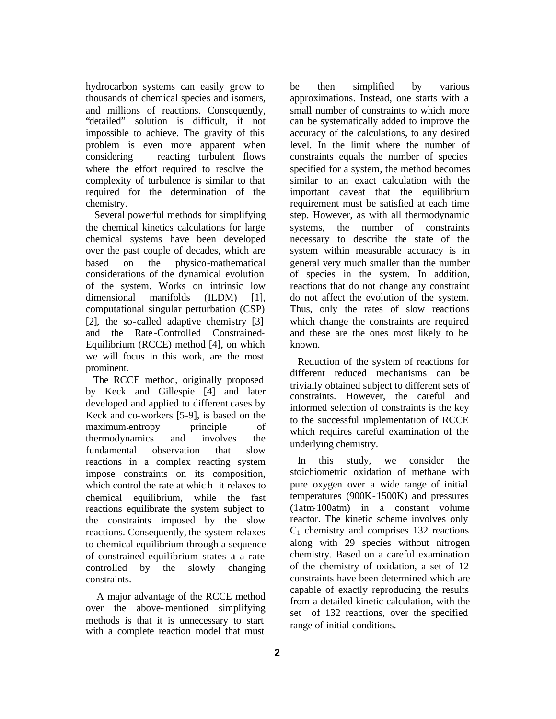hydrocarbon systems can easily grow to thousands of chemical species and isomers, and millions of reactions. Consequently, "detailed" solution is difficult, if not impossible to achieve. The gravity of this problem is even more apparent when considering reacting turbulent flows where the effort required to resolve the complexity of turbulence is similar to that required for the determination of the chemistry.

 Several powerful methods for simplifying the chemical kinetics calculations for large chemical systems have been developed over the past couple of decades, which are based on the physico-mathematical considerations of the dynamical evolution of the system. Works on intrinsic low dimensional manifolds (ILDM) [1], computational singular perturbation (CSP) [2], the so-called adaptive chemistry [3] and the Rate-Controlled Constrained-Equilibrium (RCCE) method [4], on which we will focus in this work, are the most prominent.

 The RCCE method, originally proposed by Keck and Gillespie [4] and later developed and applied to different cases by Keck and co-workers [5-9], is based on the maximum-entropy principle of thermodynamics and involves the fundamental observation that slow reactions in a complex reacting system impose constraints on its composition, which control the rate at whic h it relaxes to chemical equilibrium, while the fast reactions equilibrate the system subject to the constraints imposed by the slow reactions. Consequently, the system relaxes to chemical equilibrium through a sequence of constrained-equilibrium states at a rate controlled by the slowly changing constraints.

 A major advantage of the RCCE method over the above-mentioned simplifying methods is that it is unnecessary to start with a complete reaction model that must

be then simplified by various approximations. Instead, one starts with a small number of constraints to which more can be systematically added to improve the accuracy of the calculations, to any desired level. In the limit where the number of constraints equals the number of species specified for a system, the method becomes similar to an exact calculation with the important caveat that the equilibrium requirement must be satisfied at each time step. However, as with all thermodynamic systems, the number of constraints necessary to describe the state of the system within measurable accuracy is in general very much smaller than the number of species in the system. In addition, reactions that do not change any constraint do not affect the evolution of the system. Thus, only the rates of slow reactions which change the constraints are required and these are the ones most likely to be known.

 Reduction of the system of reactions for different reduced mechanisms can be trivially obtained subject to different sets of constraints. However, the careful and informed selection of constraints is the key to the successful implementation of RCCE which requires careful examination of the underlying chemistry.

 In this study, we consider the stoichiometric oxidation of methane with pure oxygen over a wide range of initial temperatures (900K-1500K) and pressures (1atm-100atm) in a constant volume reactor. The kinetic scheme involves only  $C_1$  chemistry and comprises 132 reactions along with 29 species without nitrogen chemistry. Based on a careful examination of the chemistry of oxidation, a set of 12 constraints have been determined which are capable of exactly reproducing the results from a detailed kinetic calculation, with the set of 132 reactions, over the specified range of initial conditions.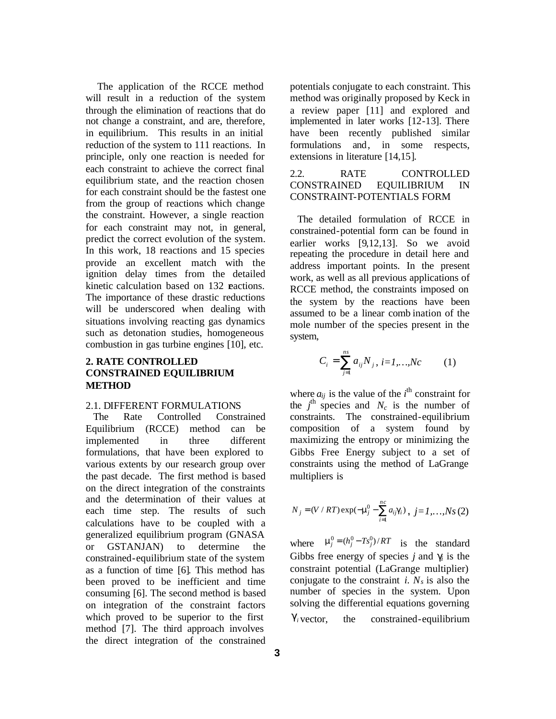The application of the RCCE method will result in a reduction of the system through the elimination of reactions that do not change a constraint, and are, therefore, in equilibrium. This results in an initial reduction of the system to 111 reactions. In principle, only one reaction is needed for each constraint to achieve the correct final equilibrium state, and the reaction chosen for each constraint should be the fastest one from the group of reactions which change the constraint. However, a single reaction for each constraint may not, in general, predict the correct evolution of the system. In this work, 18 reactions and 15 species provide an excellent match with the ignition delay times from the detailed kinetic calculation based on 132 reactions. The importance of these drastic reductions will be underscored when dealing with situations involving reacting gas dynamics such as detonation studies, homogeneous combustion in gas turbine engines [10], etc.

## **2. RATE CONTROLLED CONSTRAINED EQUILIBRIUM METHOD**

#### 2.1. DIFFERENT FORMULATIONS

 The Rate Controlled Constrained Equilibrium (RCCE) method can be implemented in three different formulations, that have been explored to various extents by our research group over the past decade. The first method is based on the direct integration of the constraints and the determination of their values at each time step. The results of such calculations have to be coupled with a generalized equilibrium program (GNASA or GSTANJAN) to determine the constrained-equilibrium state of the system as a function of time [6]. This method has been proved to be inefficient and time consuming [6]. The second method is based on integration of the constraint factors which proved to be superior to the first method [7]. The third approach involves the direct integration of the constrained

potentials conjugate to each constraint. This method was originally proposed by Keck in a review paper [11] and explored and implemented in later works [12-13]. There have been recently published similar formulations and, in some respects, extensions in literature [14,15].

# 2.2. RATE CONTROLLED CONSTRAINED EQUILIBRIUM IN CONSTRAINT-POTENTIALS FORM

 The detailed formulation of RCCE in constrained-potential form can be found in earlier works [9,12,13]. So we avoid repeating the procedure in detail here and address important points. In the present work, as well as all previous applications of RCCE method, the constraints imposed on the system by the reactions have been assumed to be a linear comb ination of the mole number of the species present in the system,

$$
C_i = \sum_{j=1}^{ns} a_{ij} N_j, i = 1,...,Nc
$$
 (1)

where  $a_{ij}$  is the value of the  $i^{\text{th}}$  constraint for the  $j^{\text{th}}$  species and  $N_c$  is the number of constraints. The constrained-equilibrium composition of a system found by maximizing the entropy or minimizing the Gibbs Free Energy subject to a set of constraints using the method of LaGrange multipliers is

$$
N_j = (V / RT) \exp(-\mathbf{m}_j^0 - \sum_{i=1}^{nc} a_{ij} \mathbf{g}_i), j = 1, ..., Ns(2)
$$

where  $\mathbf{m}_j^0 = (h_j^0 - Ts_j^0)/RT$  is the standard Gibbs free energy of species  $j$  and  $g_j$  is the constraint potential (LaGrange multiplier) conjugate to the constraint *i*.  $N_s$  is also the number of species in the system. Upon solving the differential equations governing  $g_i$  vector. the constrained-equilibrium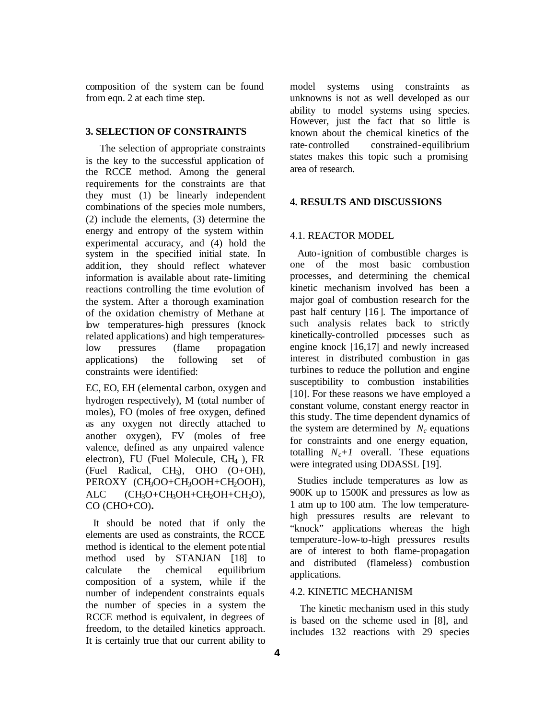composition of the system can be found from eqn. 2 at each time step.

#### **3. SELECTION OF CONSTRAINTS**

 The selection of appropriate constraints is the key to the successful application of the RCCE method. Among the general requirements for the constraints are that they must (1) be linearly independent combinations of the species mole numbers, (2) include the elements, (3) determine the energy and entropy of the system within experimental accuracy, and (4) hold the system in the specified initial state. In addition, they should reflect whatever information is available about rate-limiting reactions controlling the time evolution of the system. After a thorough examination of the oxidation chemistry of Methane at low temperatures- high pressures (knock related applications) and high temperatureslow pressures (flame propagation applications) the following set of constraints were identified:

EC, EO, EH (elemental carbon, oxygen and hydrogen respectively), M (total number of moles), FO (moles of free oxygen, defined as any oxygen not directly attached to another oxygen), FV (moles of free valence, defined as any unpaired valence electron), FU (Fuel Molecule, CH4 ), FR (Fuel Radical, CH3), OHO (O+OH), PEROXY (CH<sub>3</sub>OO+CH<sub>3</sub>OOH+CH<sub>2</sub>OOH),  $ALC$   $(CH_3O+CH_3OH+CH_2OH+CH_2O),$ CO (CHO+CO)**.**

 It should be noted that if only the elements are used as constraints, the RCCE method is identical to the element pote ntial method used by STANJAN [18] to calculate the chemical equilibrium composition of a system, while if the number of independent constraints equals the number of species in a system the RCCE method is equivalent, in degrees of freedom, to the detailed kinetics approach. It is certainly true that our current ability to model systems using constraints as unknowns is not as well developed as our ability to model systems using species. However, just the fact that so little is known about the chemical kinetics of the rate-controlled constrained-equilibrium states makes this topic such a promising area of research.

#### **4. RESULTS AND DISCUSSIONS**

#### 4.1. REACTOR MODEL

 Auto-ignition of combustible charges is one of the most basic combustion processes, and determining the chemical kinetic mechanism involved has been a major goal of combustion research for the past half century [16]. The importance of such analysis relates back to strictly kinetically-controlled processes such as engine knock [16,17] and newly increased interest in distributed combustion in gas turbines to reduce the pollution and engine susceptibility to combustion instabilities [10]. For these reasons we have employed a constant volume, constant energy reactor in this study. The time dependent dynamics of the system are determined by  $N_c$  equations for constraints and one energy equation, totalling  $N_c + 1$  overall. These equations were integrated using DDASSL [19].

 Studies include temperatures as low as 900K up to 1500K and pressures as low as 1 atm up to 100 atm. The low temperaturehigh pressures results are relevant to "knock" applications whereas the high temperature-low-to-high pressures results are of interest to both flame-propagation and distributed (flameless) combustion applications.

#### 4.2. KINETIC MECHANISM

 The kinetic mechanism used in this study is based on the scheme used in [8], and includes 132 reactions with 29 species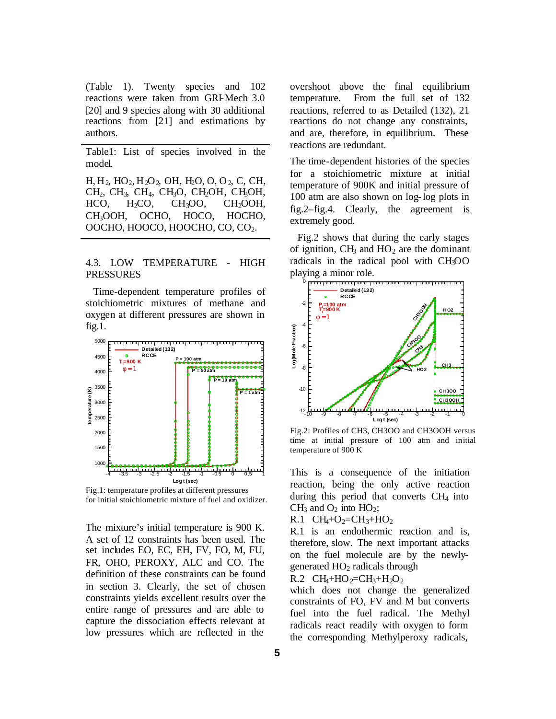(Table 1). Twenty species and 102 reactions were taken from GRI-Mech 3.0 [20] and 9 species along with 30 additional reactions from [21] and estimations by authors.

Table1: List of species involved in the model.

H, H2, HO2, H2O2, OH, H2O, O, O2, C, CH,  $CH<sub>2</sub>$ ,  $CH<sub>3</sub>$ ,  $CH<sub>4</sub>$ ,  $CH<sub>3</sub>O$ ,  $CH<sub>2</sub>OH$ ,  $CH<sub>3</sub>OH$ ,  $HCO$ ,  $H<sub>2</sub>CO$ ,  $CH<sub>3</sub>OO$ ,  $CH<sub>2</sub>OOH$ , CH3OOH, OCHO, HOCO, HOCHO, OOCHO, HOOCO, HOOCHO, CO, CO2.

#### 4.3. LOW TEMPERATURE - HIGH PRESSURES

 Time-dependent temperature profiles of stoichiometric mixtures of methane and oxygen at different pressures are shown in fig.1.



Fig.1: temperature profiles at different pressures for initial stoichiometric mixture of fuel and oxidizer.

The mixture's initial temperature is 900 K. A set of 12 constraints has been used. The set includes EO, EC, EH, FV, FO, M, FU, FR, OHO, PEROXY, ALC and CO. The definition of these constraints can be found in section 3. Clearly, the set of chosen constraints yields excellent results over the entire range of pressures and are able to capture the dissociation effects relevant at low pressures which are reflected in the

overshoot above the final equilibrium temperature. From the full set of 132 reactions, referred to as Detailed (132), 21 reactions do not change any constraints, and are, therefore, in equilibrium. These reactions are redundant.

The time-dependent histories of the species for a stoichiometric mixture at initial temperature of 900K and initial pressure of 100 atm are also shown on log-log plots in fig.2–fig.4. Clearly, the agreement is extremely good.

 Fig.2 shows that during the early stages of ignition,  $CH<sub>3</sub>$  and  $HO<sub>2</sub>$  are the dominant radicals in the radical pool with CH3OO playing a minor role.



Fig.2: Profiles of CH3, CH3OO and CH3OOH versus time at initial pressure of 100 atm and initial temperature of 900 K

This is a consequence of the initiation reaction, being the only active reaction during this period that converts  $CH<sub>4</sub>$  into  $CH<sub>3</sub>$  and  $O<sub>2</sub>$  into  $HO<sub>2</sub>$ ;

R.1  $CH_4+O_2=CH_3+HO_2$ 

R.1 is an endothermic reaction and is, therefore, slow. The next important attacks on the fuel molecule are by the newlygenerated  $HO<sub>2</sub>$  radicals through

R.2 
$$
CH_4 + HO_2 = CH_3 + H_2O_2
$$

which does not change the generalized constraints of FO, FV and M but converts fuel into the fuel radical. The Methyl radicals react readily with oxygen to form the corresponding Methylperoxy radicals,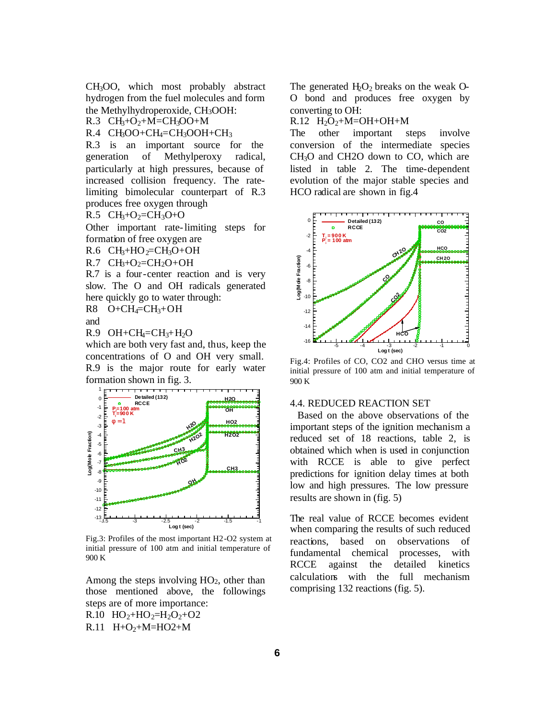CH3OO, which most probably abstract hydrogen from the fuel molecules and form the Methylhydroperoxide, CH3OOH:

R.3  $CH_3+O_2+M=CH_3OO+M$ 

 $R.4$  CH<sub>3</sub>OO+CH<sub>4</sub>=CH<sub>3</sub>OOH+CH<sub>3</sub>

R.3 is an important source for the generation of Methylperoxy radical, particularly at high pressures, because of increased collision frequency. The ratelimiting bimolecular counterpart of R.3 produces free oxygen through

 $R.5$  CH<sub>3</sub>+O<sub>2</sub>=CH<sub>3</sub>O+O

Other important rate-limiting steps for formation of free oxygen are

R.6  $CH<sub>3</sub>+HO<sub>2</sub>=CH<sub>3</sub>O+OH$ 

 $R.7$  CH<sub>3</sub>+O<sub>2</sub>=CH<sub>2</sub>O+OH

R.7 is a four-center reaction and is very slow. The O and OH radicals generated here quickly go to water through:  $R8$  O+CH<sub>4</sub>=CH<sub>3</sub>+OH

and

 $R.9$  OH+CH<sub>4</sub>=CH<sub>3</sub>+H<sub>2</sub>O

which are both very fast and, thus, keep the concentrations of O and OH very small. R.9 is the major route for early water formation shown in fig. 3.



Fig.3: Profiles of the most important H2-O2 system at initial pressure of 100 atm and initial temperature of 900 K

Among the steps involving  $HO<sub>2</sub>$ , other than those mentioned above, the followings steps are of more importance:

R.10  $HO_2 + HO_2 = H_2O_2 + O_2$  $R.11$  H+O<sub>2</sub>+M=HO2+M

The generated  $H_2O_2$  breaks on the weak O-O bond and produces free oxygen by converting to OH:

 $R.12$  H<sub>2</sub>O<sub>2</sub>+M=OH+OH+M

The other important steps involve conversion of the intermediate species CH3O and CH2O down to CO, which are listed in table 2. The time-dependent evolution of the major stable species and HCO radical are shown in fig.4



Fig.4: Profiles of CO, CO2 and CHO versus time at initial pressure of 100 atm and initial temperature of 900 K

#### 4.4. REDUCED REACTION SET

 Based on the above observations of the important steps of the ignition mechanism a reduced set of 18 reactions, table 2, is obtained which when is used in conjunction with RCCE is able to give perfect predictions for ignition delay times at both low and high pressures. The low pressure results are shown in (fig. 5)

The real value of RCCE becomes evident when comparing the results of such reduced reactions, based on observations of fundamental chemical processes, with RCCE against the detailed kinetics calculations with the full mechanism comprising 132 reactions (fig. 5).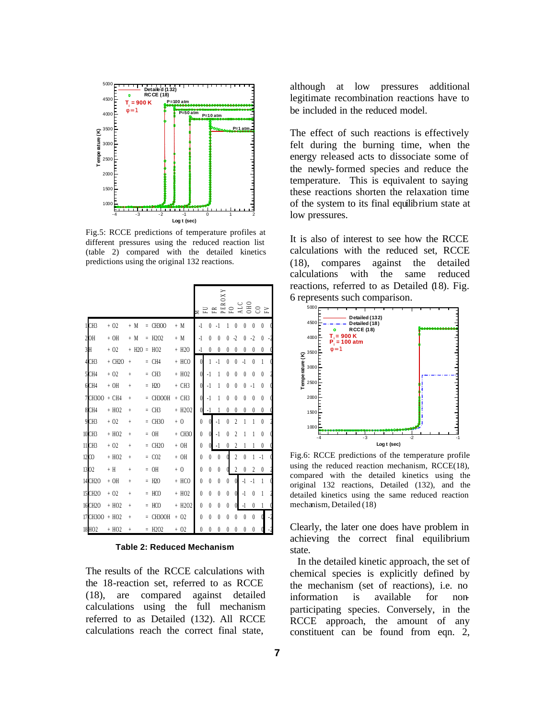

Fig.5: RCCE predictions of temperature profiles at different pressures using the reduced reaction list (table 2) compared with the detailed kinetics predictions using the original 132 reactions.

|                      |                     |               |          |                               |                     | PEROXY           |           |           |                  |                |              |                        |           |  |
|----------------------|---------------------|---------------|----------|-------------------------------|---------------------|------------------|-----------|-----------|------------------|----------------|--------------|------------------------|-----------|--|
|                      |                     |               |          |                               |                     |                  |           |           |                  |                |              | $F0$<br>$A$ LC<br>COHO |           |  |
| 1CH <sub>3</sub>     | $+02$               | $+ M$         | $\equiv$ | <b>CH300</b>                  | $+$ M               | $-1$             | 0         | $-1$      | 1                | 0              | $\theta$     | $\theta$               | 0         |  |
| 2OH                  | $+OH$               | $+ M$         | Ξ        | H <sub>2</sub> O <sub>2</sub> | $+ M$               | $-1$             | $\theta$  | 0         | 0                | -2             | 0            | $-2$                   | 0         |  |
| 3H                   | $+02$               | $+ H2O = HO2$ |          |                               | $+ H2O$             | $-1$             | 0         | 0         | 0                | 0              | 0            | 0                      | 0         |  |
| 4CH3                 | $+$ CH2O            | $\ddot{+}$    |          | $=$ CH4                       | + HCO               | $\mathbf{0}$     | 1         | $-1$      | $\theta$         | $\mathbf{0}$   | $\cdot$ l    | $\theta$               | 1         |  |
| 5CH4                 | $+02$               | $\ddot{}$     |          | $=$ CH <sub>3</sub>           | $+ H02$             | $\overline{0}$   | $-1$      | 1         | $\theta$         | $\theta$       | $\theta$     | 0                      | $\theta$  |  |
| 6CH4                 | $+OH$               | $^{+}$        | $\equiv$ | H2O                           | $+$ CH <sub>3</sub> | $\mathbf{0}$     | $-1$      | 1         | $\theta$         | 0              | $\theta$     | $-1$                   | $\theta$  |  |
| 7CH3OO               | $+$ CH <sub>4</sub> | $\ddot{}$     | $\equiv$ | CH3OOH                        | $+CH3$              | $\theta$         | $\cdot$ 1 | 1         | $\theta$         | 0              | $\theta$     | $\theta$               | $\theta$  |  |
| 8CH4                 | $+ HO2$             | $\ddot{}$     |          | $=$ CH <sub>3</sub>           | $+ H2O2$            | $\theta$         | $\cdot$   |           | $\theta$         | $\theta$       | $\theta$     | $\theta$               | $\theta$  |  |
| 9CH3                 | $+02$               | $\ddot{}$     | $\equiv$ | CH <sub>3</sub> O             | $+0$                | $\boldsymbol{0}$ | $\theta$  | $-1$      | $\boldsymbol{0}$ | $\overline{c}$ | 1            | 1                      | $\theta$  |  |
| 10 CH3               | $+ H02$             | $\ddot{}$     | $\equiv$ | <b>OH</b>                     | $+$ CH3O            | $\boldsymbol{0}$ | $\theta$  | $-1$      | 0                | 2              |              | 1                      | $\theta$  |  |
| 11 CH3               | $+02$               | $\ddot{}$     |          | CH <sub>2</sub> O             | $+OH$               | 0                |           | $\cdot$ 1 | 0                | 2              |              |                        | $\theta$  |  |
| 12 <sub>co</sub>     | $+ H02$             | $^{+}$        |          | $= CO2$                       | $+OH$               | 0                | 0         | $\theta$  |                  | $\overline{c}$ | $\mathbf{0}$ | 1                      | $\cdot$ 1 |  |
| 1302                 | $+$ H               | $^{+}$        | $=$      | <b>OH</b>                     | $+0$                | 0                | $\theta$  | 0         |                  | $\overline{c}$ | $\theta$     | $\overline{c}$         | $\theta$  |  |
| 14 CH <sub>2</sub> O | $+OH$               | $^{+}$        | $\equiv$ | H2O                           | + HCO               | $\theta$         | $\theta$  | $\theta$  | $\boldsymbol{0}$ | $\theta$       | $-1$         | $-1$                   | 1         |  |
| 15 CH <sub>2</sub> O | $+02$               | $\ddot{}$     | $\equiv$ | HCO                           | $+ H02$             | 0                | 0         | 0         | 0                | $\theta$       | $\cdot$ l    | $\theta$               | 1         |  |
| 16 CH <sub>2</sub> O | $+ H02$             | $\ddot{}$     | $\equiv$ | HCO                           | + H2O2              | 0                | $\theta$  | $\theta$  | $\theta$         | $\theta$       | $-1$         | $\theta$               |           |  |
| 17 CH300             | $+ HO2$             | $^{+}$        |          | CH3OOH                        | $+02$               | $\mathbf{0}$     | $\theta$  | $\theta$  | $\theta$         | $\theta$       | $\theta$     | $\theta$               |           |  |
| 18HO2                | $+ H02$             | $^{+}$        |          | H <sub>2</sub> O <sub>2</sub> | $+02$               | $\mathbf{0}$     | $\theta$  | $\theta$  | $\theta$         | $\theta$       | $\theta$     | 0                      |           |  |

**Table 2: Reduced Mechanism**

The results of the RCCE calculations with the 18-reaction set, referred to as RCCE (18), are compared against detailed calculations using the full mechanism referred to as Detailed (132). All RCCE calculations reach the correct final state,

although at low pressures additional legitimate recombination reactions have to be included in the reduced model.

The effect of such reactions is effectively felt during the burning time, when the energy released acts to dissociate some of the newly-formed species and reduce the temperature. This is equivalent to saying these reactions shorten the relaxation time of the system to its final equilibrium state at low pressures.

It is also of interest to see how the RCCE calculations with the reduced set, RCCE (18), compares against the detailed calculations with the same reduced reactions, referred to as Detailed (18). Fig. 6 represents such comparison.



Fig.6: RCCE predictions of the temperature profile using the reduced reaction mechanism, RCCE(18), compared with the detailed kinetics using the original 132 reactions, Detailed (132), and the detailed kinetics using the same reduced reaction mechanism, Detailed (18)

Clearly, the later one does have problem in achieving the correct final equilibrium state.

 In the detailed kinetic approach, the set of chemical species is explicitly defined by the mechanism (set of reactions), i.e. no information is available for nonparticipating species. Conversely, in the RCCE approach, the amount of any constituent can be found from eqn. 2,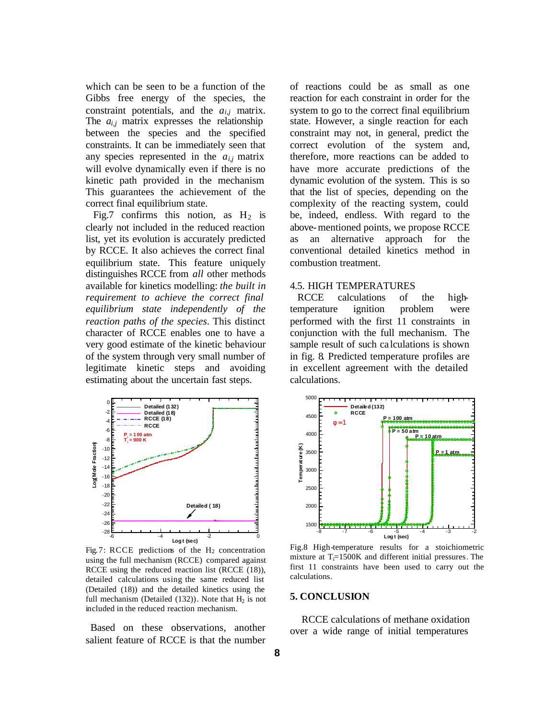which can be seen to be a function of the Gibbs free energy of the species, the constraint potentials, and the  $a_{i,j}$  matrix. The  $a_i$  matrix expresses the relationship between the species and the specified constraints. It can be immediately seen that any species represented in the  $a_{i,j}$  matrix will evolve dynamically even if there is no kinetic path provided in the mechanism. This guarantees the achievement of the correct final equilibrium state.

Fig.7 confirms this notion, as  $H_2$  is clearly not included in the reduced reaction list, yet its evolution is accurately predicted by RCCE. It also achieves the correct final equilibrium state. This feature uniquely distinguishes RCCE from *all* other methods available for kinetics modelling: *the built in requirement to achieve the correct final equilibrium state independently of the reaction paths of the species*. This distinct character of RCCE enables one to have a very good estimate of the kinetic behaviour of the system through very small number of legitimate kinetic steps and avoiding estimating about the uncertain fast steps.



Fig.7: RCCE predictions of the  $H_2$  concentration using the full mechanism (RCCE) compared against RCCE using the reduced reaction list (RCCE (18)), detailed calculations using the same reduced list (Detailed (18)) and the detailed kinetics using the full mechanism (Detailed  $(132)$ ). Note that  $H<sub>2</sub>$  is not included in the reduced reaction mechanism.

 Based on these observations, another salient feature of RCCE is that the number of reactions could be as small as one reaction for each constraint in order for the system to go to the correct final equilibrium state. However, a single reaction for each constraint may not, in general, predict the correct evolution of the system and, therefore, more reactions can be added to have more accurate predictions of the dynamic evolution of the system. This is so that the list of species, depending on the complexity of the reacting system, could be, indeed, endless. With regard to the above-mentioned points, we propose RCCE as an alternative approach for the conventional detailed kinetics method in combustion treatment.

#### 4.5. HIGH TEMPERATURES

 RCCE calculations of the hightemperature ignition problem were performed with the first 11 constraints in conjunction with the full mechanism. The sample result of such ca lculations is shown in fig. 8. Predicted temperature profiles are in excellent agreement with the detailed calculations.



Fig.8 High-temperature results for a stoichiometric mixture at  $T_i=1500K$  and different initial pressures. The first 11 constraints have been used to carry out the calculations.

#### **5. CONCLUSION**

RCCE calculations of methane oxidation over a wide range of initial temperatures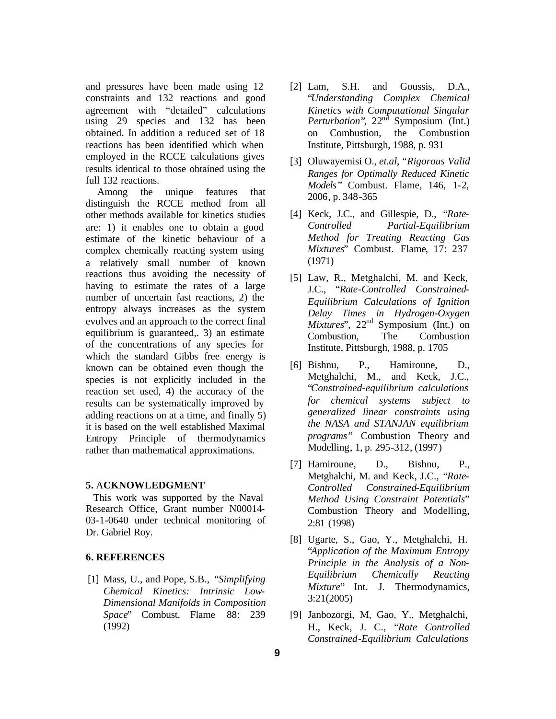and pressures have been made using 12 constraints and 132 reactions and good agreement with "detailed" calculations using 29 species and 132 has been obtained. In addition a reduced set of 18 reactions has been identified which when employed in the RCCE calculations gives results identical to those obtained using the full 132 reactions.

Among the unique features that distinguish the RCCE method from all other methods available for kinetics studies are: 1) it enables one to obtain a good estimate of the kinetic behaviour of a complex chemically reacting system using a relatively small number of known reactions thus avoiding the necessity of having to estimate the rates of a large number of uncertain fast reactions, 2) the entropy always increases as the system evolves and an approach to the correct final equilibrium is guaranteed,. 3) an estimate of the concentrations of any species for which the standard Gibbs free energy is known can be obtained even though the species is not explicitly included in the reaction set used, 4) the accuracy of the results can be systematically improved by adding reactions on at a time, and finally 5) it is based on the well established Maximal Entropy Principle of thermodynamics rather than mathematical approximations.

#### **5.** A**CKNOWLEDGMENT**

 This work was supported by the Naval Research Office, Grant number N00014- 03-1-0640 under technical monitoring of Dr. Gabriel Roy.

#### **6. REFERENCES**

 [1] Mass, U., and Pope, S.B., "*Simplifying Chemical Kinetics: Intrinsic Low-Dimensional Manifolds in Composition Space*" Combust. Flame 88: 239 (1992)

- [2] Lam, S.H. and Goussis, D.A., "*Understanding Complex Chemical Kinetics with Computational Singular Perturbation*", 22<sup>nd</sup> Symposium (Int.) on Combustion, the Combustion Institute, Pittsburgh, 1988, p. 931
- [3] Oluwayemisi O., *et.al*, "*Rigorous Valid Ranges for Optimally Reduced Kinetic Models*" Combust. Flame, 146, 1-2, 2006, p. 348-365
- [4] Keck, J.C., and Gillespie, D., "*Rate-Controlled Partial-Equilibrium Method for Treating Reacting Gas Mixtures*" Combust. Flame, 17: 237 (1971)
- [5] Law, R., Metghalchi, M. and Keck, J.C., "*Rate-Controlled Constrained-Equilibrium Calculations of Ignition Delay Times in Hydrogen-Oxygen Mixtures*", 22<sup>nd</sup> Symposium (Int.) on Combustion, The Combustion Institute, Pittsburgh, 1988, p. 1705
- [6] Bishnu, P., Hamiroune, D., Metghalchi, M., and Keck, J.C., "*Constrained-equilibrium calculations for chemical systems subject to generalized linear constraints using the NASA and STANJAN equilibrium programs"* Combustion Theory and Modelling, 1, p. 295-312, (1997)
- [7] Hamiroune, D., Bishnu, P., Metghalchi, M. and Keck, J.C., "*Rate-Controlled Constrained-Equilibrium Method Using Constraint Potentials*" Combustion Theory and Modelling, 2:81 (1998)
- [8] Ugarte, S., Gao, Y., Metghalchi, H. "*Application of the Maximum Entropy Principle in the Analysis of a Non-Equilibrium Chemically Reacting Mixture*" Int. J. Thermodynamics, 3:21(2005)
- [9] Janbozorgi, M, Gao, Y., Metghalchi, H., Keck, J. C., "*Rate Controlled Constrained-Equilibrium Calculations*